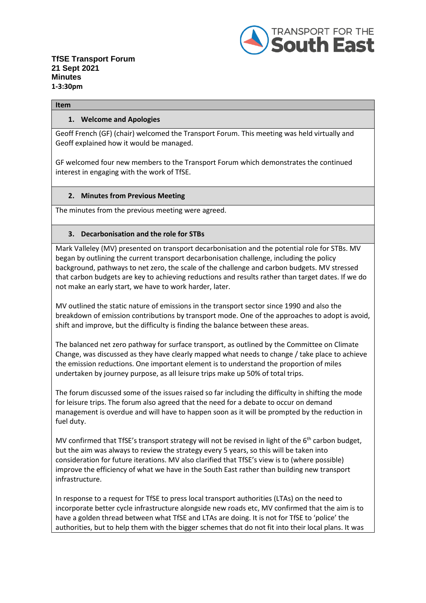

#### **Item**

#### **1. Welcome and Apologies**

Geoff French (GF) (chair) welcomed the Transport Forum. This meeting was held virtually and Geoff explained how it would be managed.

GF welcomed four new members to the Transport Forum which demonstrates the continued interest in engaging with the work of TfSE.

### **2. Minutes from Previous Meeting**

The minutes from the previous meeting were agreed.

### **3. Decarbonisation and the role for STBs**

Mark Valleley (MV) presented on transport decarbonisation and the potential role for STBs. MV began by outlining the current transport decarbonisation challenge, including the policy background, pathways to net zero, the scale of the challenge and carbon budgets. MV stressed that carbon budgets are key to achieving reductions and results rather than target dates. If we do not make an early start, we have to work harder, later.

MV outlined the static nature of emissions in the transport sector since 1990 and also the breakdown of emission contributions by transport mode. One of the approaches to adopt is avoid, shift and improve, but the difficulty is finding the balance between these areas.

The balanced net zero pathway for surface transport, as outlined by the Committee on Climate Change, was discussed as they have clearly mapped what needs to change / take place to achieve the emission reductions. One important element is to understand the proportion of miles undertaken by journey purpose, as all leisure trips make up 50% of total trips.

The forum discussed some of the issues raised so far including the difficulty in shifting the mode for leisure trips. The forum also agreed that the need for a debate to occur on demand management is overdue and will have to happen soon as it will be prompted by the reduction in fuel duty.

MV confirmed that TfSE's transport strategy will not be revised in light of the 6<sup>th</sup> carbon budget, but the aim was always to review the strategy every 5 years, so this will be taken into consideration for future iterations. MV also clarified that TfSE's view is to (where possible) improve the efficiency of what we have in the South East rather than building new transport infrastructure.

In response to a request for TfSE to press local transport authorities (LTAs) on the need to incorporate better cycle infrastructure alongside new roads etc, MV confirmed that the aim is to have a golden thread between what TfSE and LTAs are doing. It is not for TfSE to 'police' the authorities, but to help them with the bigger schemes that do not fit into their local plans. It was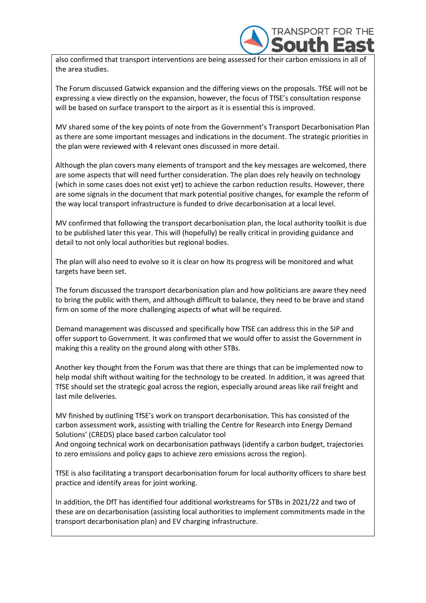

also confirmed that transport interventions are being assessed for their carbon emissions in all of the area studies.

The Forum discussed Gatwick expansion and the differing views on the proposals. TfSE will not be expressing a view directly on the expansion, however, the focus of TfSE's consultation response will be based on surface transport to the airport as it is essential this is improved.

MV shared some of the key points of note from the Government's Transport Decarbonisation Plan as there are some important messages and indications in the document. The strategic priorities in the plan were reviewed with 4 relevant ones discussed in more detail.

Although the plan covers many elements of transport and the key messages are welcomed, there are some aspects that will need further consideration. The plan does rely heavily on technology (which in some cases does not exist yet) to achieve the carbon reduction results. However, there are some signals in the document that mark potential positive changes, for example the reform of the way local transport infrastructure is funded to drive decarbonisation at a local level.

MV confirmed that following the transport decarbonisation plan, the local authority toolkit is due to be published later this year. This will (hopefully) be really critical in providing guidance and detail to not only local authorities but regional bodies.

The plan will also need to evolve so it is clear on how its progress will be monitored and what targets have been set.

The forum discussed the transport decarbonisation plan and how politicians are aware they need to bring the public with them, and although difficult to balance, they need to be brave and stand firm on some of the more challenging aspects of what will be required.

Demand management was discussed and specifically how TfSE can address this in the SIP and offer support to Government. It was confirmed that we would offer to assist the Government in making this a reality on the ground along with other STBs.

Another key thought from the Forum was that there are things that can be implemented now to help modal shift without waiting for the technology to be created. In addition, it was agreed that TfSE should set the strategic goal across the region, especially around areas like rail freight and last mile deliveries.

MV finished by outlining TfSE's work on transport decarbonisation. This has consisted of the carbon assessment work, assisting with trialling the Centre for Research into Energy Demand Solutions' (CREDS) place based carbon calculator tool

And ongoing technical work on decarbonisation pathways (identify a carbon budget, trajectories to zero emissions and policy gaps to achieve zero emissions across the region).

TfSE is also facilitating a transport decarbonisation forum for local authority officers to share best practice and identify areas for joint working.

In addition, the DfT has identified four additional workstreams for STBs in 2021/22 and two of these are on decarbonisation (assisting local authorities to implement commitments made in the transport decarbonisation plan) and EV charging infrastructure.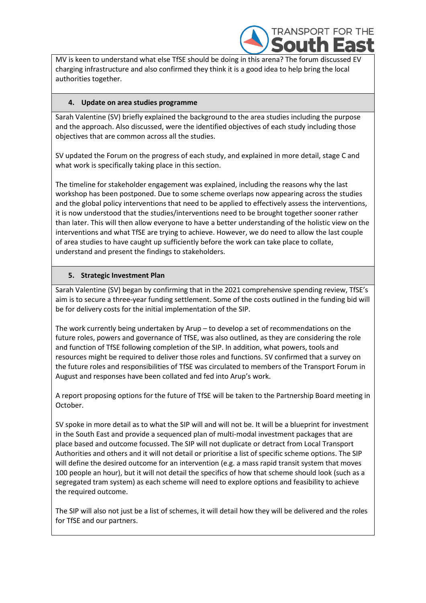

MV is keen to understand what else TfSE should be doing in this arena? The forum discussed EV charging infrastructure and also confirmed they think it is a good idea to help bring the local authorities together.

## **4. Update on area studies programme**

Sarah Valentine (SV) briefly explained the background to the area studies including the purpose and the approach. Also discussed, were the identified objectives of each study including those objectives that are common across all the studies.

SV updated the Forum on the progress of each study, and explained in more detail, stage C and what work is specifically taking place in this section.

The timeline for stakeholder engagement was explained, including the reasons why the last workshop has been postponed. Due to some scheme overlaps now appearing across the studies and the global policy interventions that need to be applied to effectively assess the interventions, it is now understood that the studies/interventions need to be brought together sooner rather than later. This will then allow everyone to have a better understanding of the holistic view on the interventions and what TfSE are trying to achieve. However, we do need to allow the last couple of area studies to have caught up sufficiently before the work can take place to collate, understand and present the findings to stakeholders.

### **5. Strategic Investment Plan**

Sarah Valentine (SV) began by confirming that in the 2021 comprehensive spending review, TfSE's aim is to secure a three-year funding settlement. Some of the costs outlined in the funding bid will be for delivery costs for the initial implementation of the SIP.

The work currently being undertaken by Arup – to develop a set of recommendations on the future roles, powers and governance of TfSE, was also outlined, as they are considering the role and function of TfSE following completion of the SIP. In addition, what powers, tools and resources might be required to deliver those roles and functions. SV confirmed that a survey on the future roles and responsibilities of TfSE was circulated to members of the Transport Forum in August and responses have been collated and fed into Arup's work.

A report proposing options for the future of TfSE will be taken to the Partnership Board meeting in October.

SV spoke in more detail as to what the SIP will and will not be. It will be a blueprint for investment in the South East and provide a sequenced plan of multi-modal investment packages that are place based and outcome focussed. The SIP will not duplicate or detract from Local Transport Authorities and others and it will not detail or prioritise a list of specific scheme options. The SIP will define the desired outcome for an intervention (e.g. a mass rapid transit system that moves 100 people an hour), but it will not detail the specifics of how that scheme should look (such as a segregated tram system) as each scheme will need to explore options and feasibility to achieve the required outcome.

The SIP will also not just be a list of schemes, it will detail how they will be delivered and the roles for TfSE and our partners.